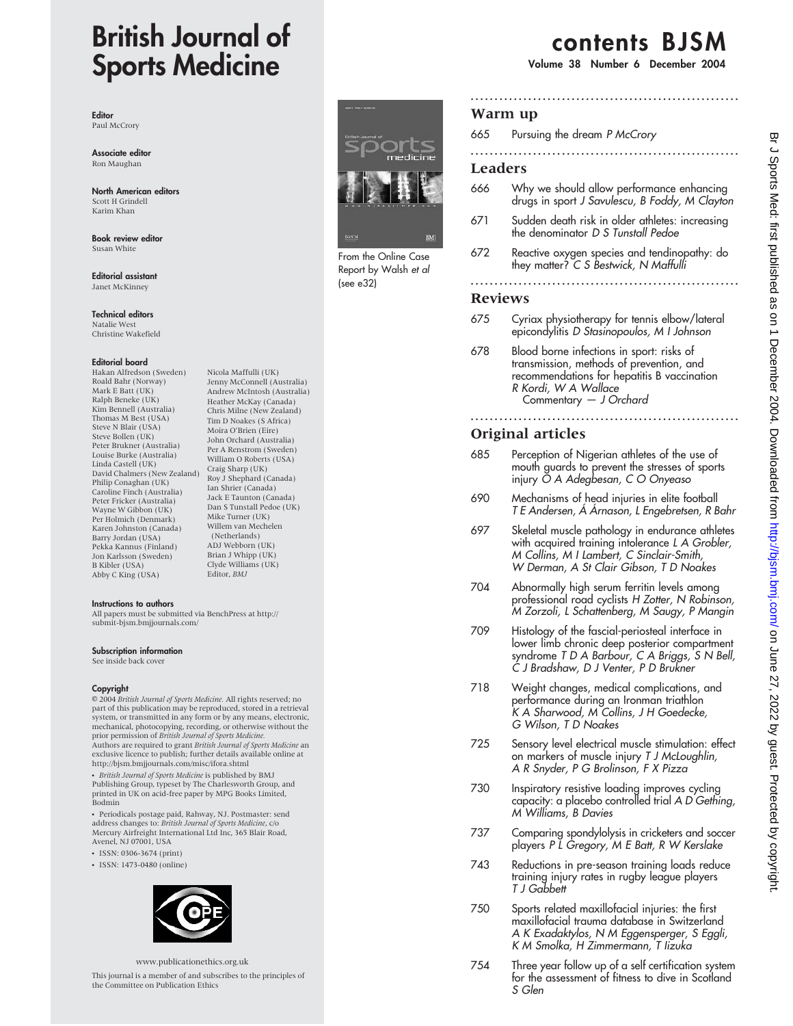# British Journal of Sports Medicine

Editor Paul McCrory

Associate editor Ron Maughan

North American editors Scott H Grindell Karim Khan

Book review editor Susan White

Editorial assistant Janet McKinney

Technical editors Natalie West Christine Wakefield

#### Editorial board

Hakan Alfredson (Sweden) Roald Bahr (Norway) Mark E Batt (UK) Ralph Beneke (UK) Kim Bennell (Australia) Thomas M Best (USA) Steve N Blair (USA) Steve Bollen (UK) Peter Brukner (Australia) Louise Burke (Australia) Linda Castell (UK) David Chalmers (New Zealand) Philip Conaghan (UK) Caroline Finch (Australia) Peter Fricker (Australia) Wayne W Gibbon (UK) Per Holmich (Denmark) Karen Johnston (Canada) Barry Jordan (USA) Pekka Kannus (Finland) Jon Karlsson (Sweden) B Kibler (USA) Abby C King (USA)

Nicola Maffulli (UK) Jenny McConnell (Australia) Andrew McIntosh (Australia) Heather McKay (Canada) Chris Milne (New Zealand) Tim D Noakes (S Africa) Moira O'Brien (Eire) John Orchard (Australia) Per A Renstrom (Sweden) William O Roberts (USA) Craig Sharp (UK) Roy J Shephard (Canada) Ian Shrier (Canada) Jack E Taunton (Canada) Dan S Tunstall Pedoe (UK) Mike Turner (UK) Willem van Mechelen (Netherlands) ADJ Webborn (UK) Brian J Whipp (UK) Clyde Williams (UK) Editor, BMJ

#### Instructions to authors

All papers must be submitted via BenchPress at http:// submit-bjsm.bmjjournals.com/

#### Subscription information

See inside back cover

#### Copyright

E 2004 British Journal of Sports Medicine. All rights reserved; no part of this publication may be reproduced, stored in a retrieval system, or transmitted in any form or by any means, electronic, mechanical, photocopying, recording, or otherwise without the<br>prior permission of *British Journal of Sports Medicine*.

Authors are required to grant British Journal of Sports Medicine an exclusive licence to publish; further details available online at http://bjsm.bmjjournals.com/misc/ifora.shtml

• *British Journal of Sports Medicine* is published by BMJ<br>Publishing Group, typeset by The Charlesworth Group, and printed in UK on acid-free paper by MPG Books Limited, Bodmin

• Periodicals postage paid, Rahway, NJ. Postmaster: send address changes to: British Journal of Sports Medicine, c/o Mercury Airfreight International Ltd Inc, 365 Blair Road, Avenel, NJ 07001, USA

- $\cdot$  ISSN: 0306-3674 (print)
- ISSN: 1473-0480 (online)



www.publicationethics.org.uk

This journal is a member of and subscribes to the principles of the Committee on Publication Ethics



Report by Walsh et al (see e32)

## contents BJSM

Volume 38 Number 6 December 2004

## Warm up

| 665 Pursuing the dream P McCrory |  |
|----------------------------------|--|
|                                  |  |

## Leaders

666 Why we should allow performance enhancing drugs in sport J Savulescu, B Foddy, M Clayton

........................................................

- 671 Sudden death risk in older athletes: increasing the denominator D S Tunstall Pedoe
- 672 Reactive oxygen species and tendinopathy: do they matter? C S Bestwick, N Maffulli

#### ........................................................

## Reviews

- 675 Cyriax physiotherapy for tennis elbow/lateral epicondylitis D Stasinopoulos, M I Johnson
- 678 Blood borne infections in sport: risks of transmission, methods of prevention, and recommendations for hepatitis B vaccination R Kordi, W A Wallace Commentary — J Orchard

## Original articles

- 685 Perception of Nigerian athletes of the use of mouth guards to prevent the stresses of sports injury O A Adegbesan, C O Onyeaso
- 690 Mechanisms of head injuries in elite football T E Andersen, Á Árnason, L Engebretsen, R Bahr

........................................................

- 697 Skeletal muscle pathology in endurance athletes with acquired training intolerance L A Grobler, M Collins, M I Lambert, C Sinclair-Smith, W Derman, A St Clair Gibson, T D Noakes
- 704 Abnormally high serum ferritin levels among professional road cyclists H Zotter, N Robinson, M Zorzoli, L Schattenberg, M Saugy, P Mangin
- 709 Histology of the fascial-periosteal interface in lower limb chronic deep posterior compartment syndrome T D A Barbour, C A Briggs, S N Bell, C J Bradshaw, D J Venter, P D Brukner
- 718 Weight changes, medical complications, and performance during an Ironman triathlon K A Sharwood, M Collins, J H Goedecke, G Wilson, T D Noakes
- 725 Sensory level electrical muscle stimulation: effect on markers of muscle injury T J McLoughlin, A R Snyder, P G Brolinson, F X Pizza
- 730 Inspiratory resistive loading improves cycling capacity: a placebo controlled trial A D Gething, M Williams, B Davies
- 737 Comparing spondylolysis in cricketers and soccer players P L Gregory, M E Batt, R W Kerslake
- 743 Reductions in pre-season training loads reduce training injury rates in rugby league players T J Gabbett
- 750 Sports related maxillofacial injuries: the first maxillofacial trauma database in Switzerland A K Exadaktylos, N M Eggensperger, S Eggli, K M Smolka, H Zimmermann, T Iizuka
- 754 Three year follow up of a self certification system for the assessment of fitness to dive in Scotland S Glen